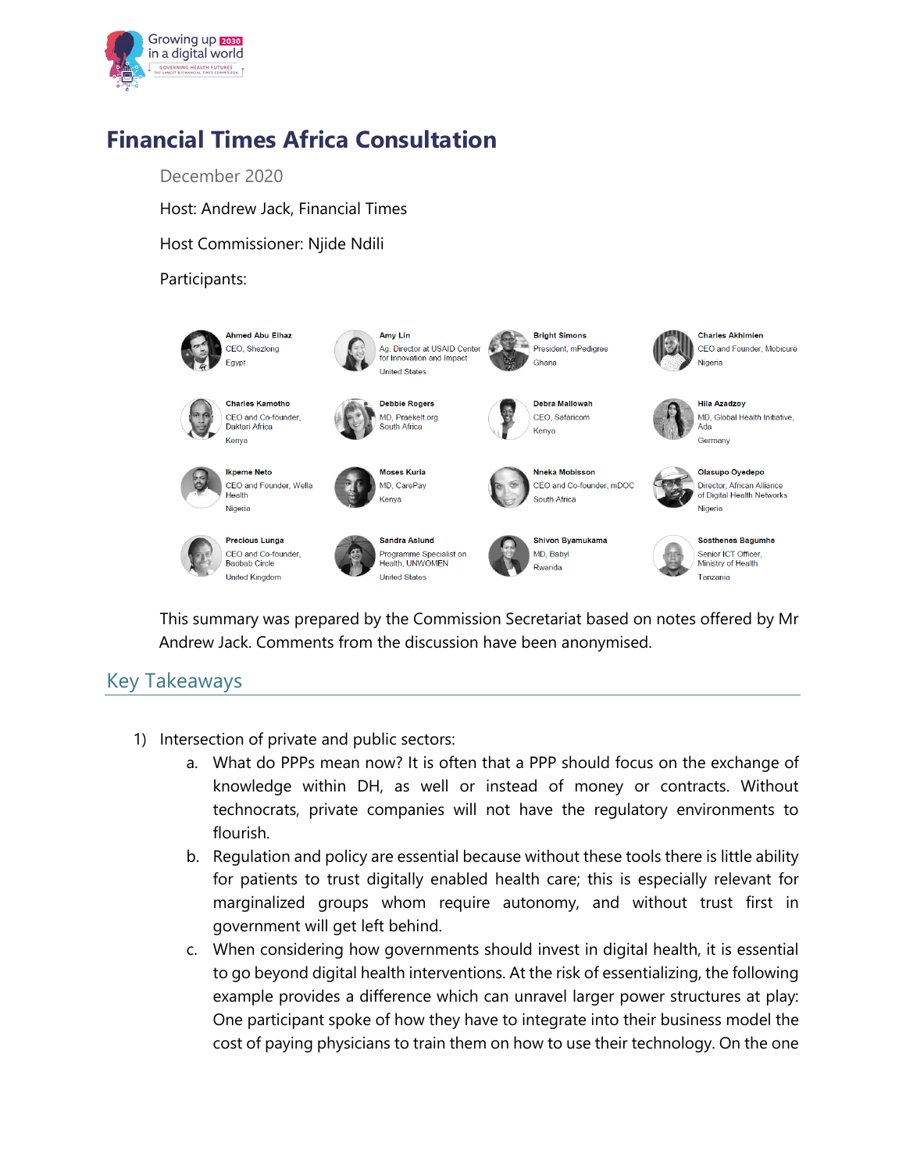

## **Financial Times Africa Consultation**

December 2020

Host: Andrew Jack, Financial Times

Host Commissioner: Njide Ndili

## Participants:



This summary was prepared by the Commission Secretariat based on notes offered by Mr Andrew Jack. Comments from the discussion have been anonymised.

## Key Takeaways

- 1) Intersection of private and public sectors:
	- a. What do PPPs mean now? It is often that a PPP should focus on the exchange of knowledge within DH, as well or instead of money or contracts. Without technocrats, private companies will not have the regulatory environments to flourish.
	- b. Regulation and policy are essential because without these tools there is little ability for patients to trust digitally enabled health care; this is especially relevant for marginalized groups whom require autonomy, and without trust first in government will get left behind.
	- c. When considering how governments should invest in digital health, it is essential to go beyond digital health interventions. At the risk of essentializing, the following example provides a difference which can unravel larger power structures at play: One participant spoke of how they have to integrate into their business model the cost of paying physicians to train them on how to use their technology. On the one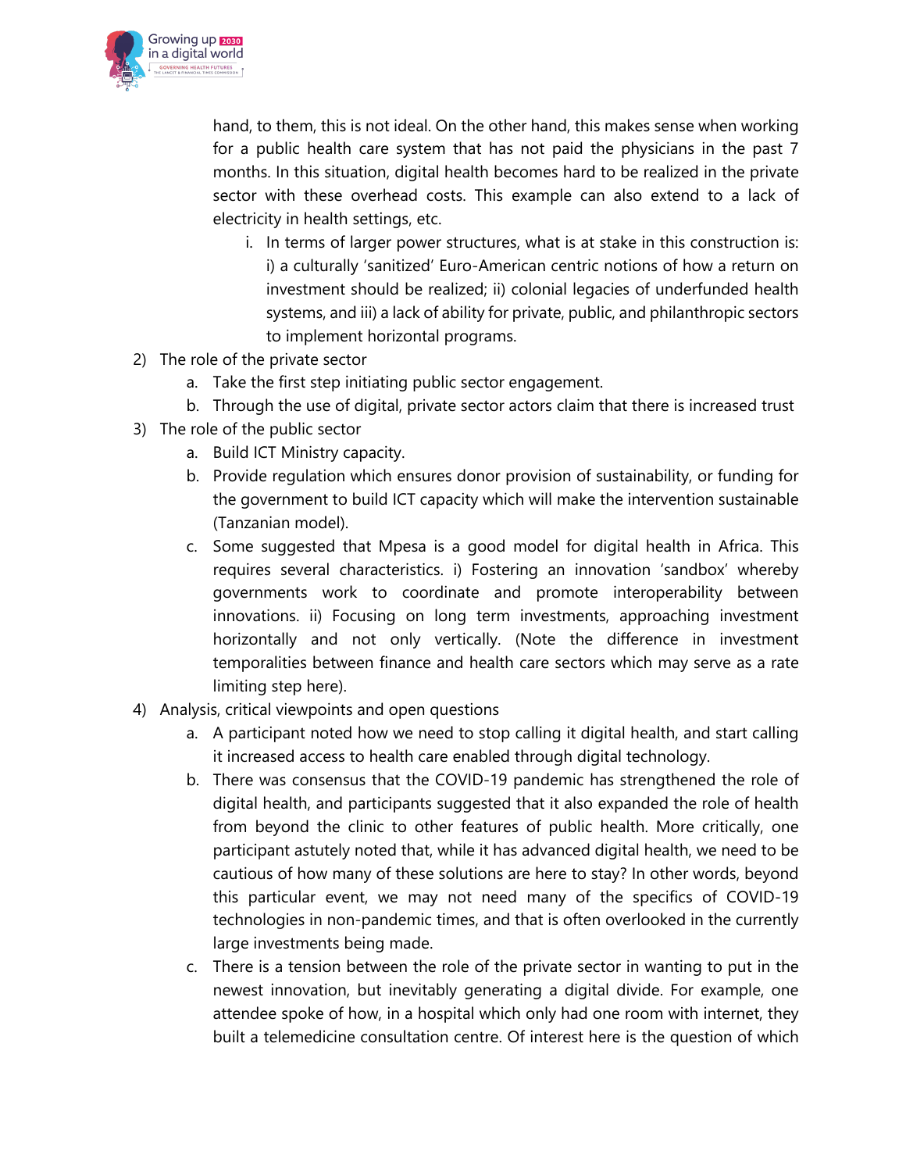

hand, to them, this is not ideal. On the other hand, this makes sense when working for a public health care system that has not paid the physicians in the past 7 months. In this situation, digital health becomes hard to be realized in the private sector with these overhead costs. This example can also extend to a lack of electricity in health settings, etc.

- i. In terms of larger power structures, what is at stake in this construction is: i) a culturally 'sanitized' Euro-American centric notions of how a return on investment should be realized; ii) colonial legacies of underfunded health systems, and iii) a lack of ability for private, public, and philanthropic sectors to implement horizontal programs.
- 2) The role of the private sector
	- a. Take the first step initiating public sector engagement.
	- b. Through the use of digital, private sector actors claim that there is increased trust
- 3) The role of the public sector
	- a. Build ICT Ministry capacity.
	- b. Provide regulation which ensures donor provision of sustainability, or funding for the government to build ICT capacity which will make the intervention sustainable (Tanzanian model).
	- c. Some suggested that Mpesa is a good model for digital health in Africa. This requires several characteristics. i) Fostering an innovation 'sandbox' whereby governments work to coordinate and promote interoperability between innovations. ii) Focusing on long term investments, approaching investment horizontally and not only vertically. (Note the difference in investment temporalities between finance and health care sectors which may serve as a rate limiting step here).
- 4) Analysis, critical viewpoints and open questions
	- a. A participant noted how we need to stop calling it digital health, and start calling it increased access to health care enabled through digital technology.
	- b. There was consensus that the COVID-19 pandemic has strengthened the role of digital health, and participants suggested that it also expanded the role of health from beyond the clinic to other features of public health. More critically, one participant astutely noted that, while it has advanced digital health, we need to be cautious of how many of these solutions are here to stay? In other words, beyond this particular event, we may not need many of the specifics of COVID-19 technologies in non-pandemic times, and that is often overlooked in the currently large investments being made.
	- c. There is a tension between the role of the private sector in wanting to put in the newest innovation, but inevitably generating a digital divide. For example, one attendee spoke of how, in a hospital which only had one room with internet, they built a telemedicine consultation centre. Of interest here is the question of which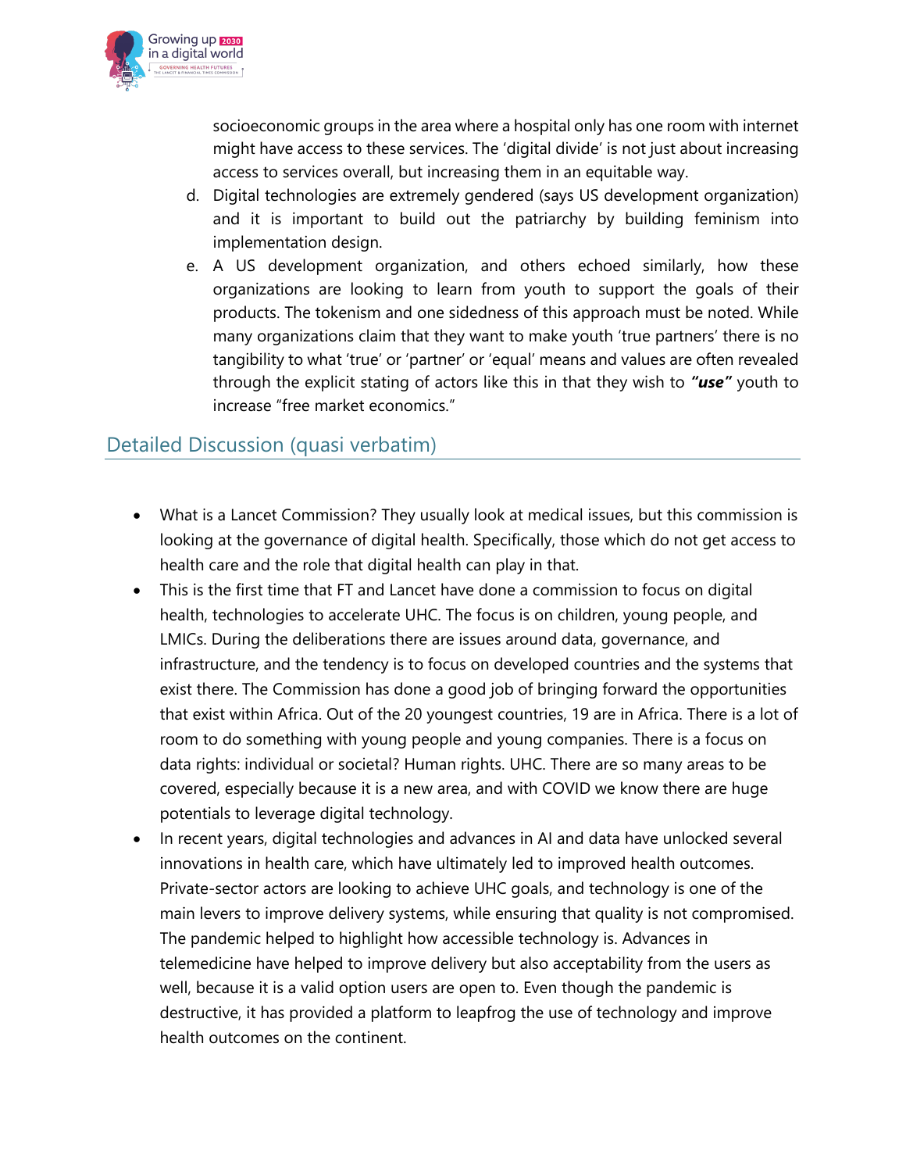

socioeconomic groups in the area where a hospital only has one room with internet might have access to these services. The 'digital divide' is not just about increasing access to services overall, but increasing them in an equitable way.

- d. Digital technologies are extremely gendered (says US development organization) and it is important to build out the patriarchy by building feminism into implementation design.
- e. A US development organization, and others echoed similarly, how these organizations are looking to learn from youth to support the goals of their products. The tokenism and one sidedness of this approach must be noted. While many organizations claim that they want to make youth 'true partners' there is no tangibility to what 'true' or 'partner' or 'equal' means and values are often revealed through the explicit stating of actors like this in that they wish to *"use"* youth to increase "free market economics."

## Detailed Discussion (quasi verbatim)

- What is a Lancet Commission? They usually look at medical issues, but this commission is looking at the governance of digital health. Specifically, those which do not get access to health care and the role that digital health can play in that.
- This is the first time that FT and Lancet have done a commission to focus on digital health, technologies to accelerate UHC. The focus is on children, young people, and LMICs. During the deliberations there are issues around data, governance, and infrastructure, and the tendency is to focus on developed countries and the systems that exist there. The Commission has done a good job of bringing forward the opportunities that exist within Africa. Out of the 20 youngest countries, 19 are in Africa. There is a lot of room to do something with young people and young companies. There is a focus on data rights: individual or societal? Human rights. UHC. There are so many areas to be covered, especially because it is a new area, and with COVID we know there are huge potentials to leverage digital technology.
- In recent years, digital technologies and advances in AI and data have unlocked several innovations in health care, which have ultimately led to improved health outcomes. Private-sector actors are looking to achieve UHC goals, and technology is one of the main levers to improve delivery systems, while ensuring that quality is not compromised. The pandemic helped to highlight how accessible technology is. Advances in telemedicine have helped to improve delivery but also acceptability from the users as well, because it is a valid option users are open to. Even though the pandemic is destructive, it has provided a platform to leapfrog the use of technology and improve health outcomes on the continent.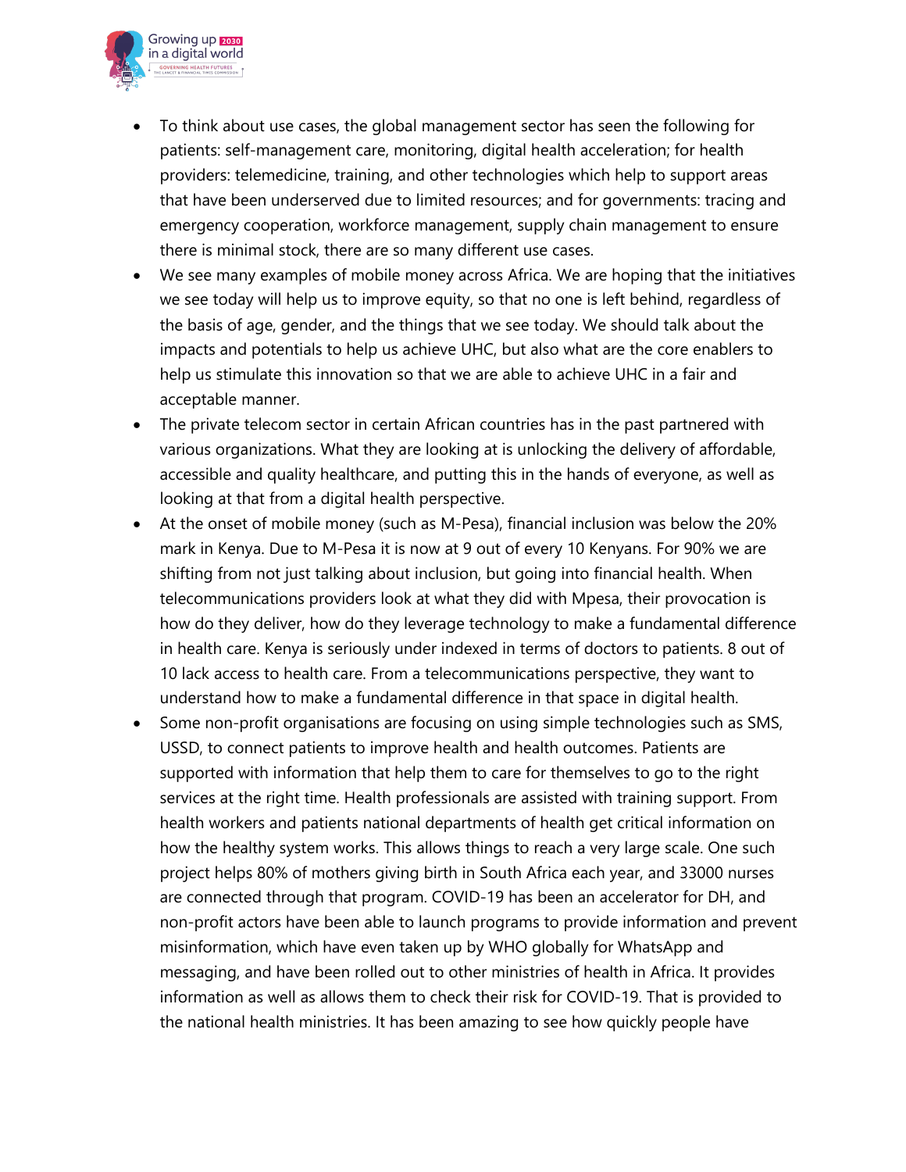

- To think about use cases, the global management sector has seen the following for patients: self-management care, monitoring, digital health acceleration; for health providers: telemedicine, training, and other technologies which help to support areas that have been underserved due to limited resources; and for governments: tracing and emergency cooperation, workforce management, supply chain management to ensure there is minimal stock, there are so many different use cases.
- We see many examples of mobile money across Africa. We are hoping that the initiatives we see today will help us to improve equity, so that no one is left behind, regardless of the basis of age, gender, and the things that we see today. We should talk about the impacts and potentials to help us achieve UHC, but also what are the core enablers to help us stimulate this innovation so that we are able to achieve UHC in a fair and acceptable manner.
- The private telecom sector in certain African countries has in the past partnered with various organizations. What they are looking at is unlocking the delivery of affordable, accessible and quality healthcare, and putting this in the hands of everyone, as well as looking at that from a digital health perspective.
- At the onset of mobile money (such as M-Pesa), financial inclusion was below the 20% mark in Kenya. Due to M-Pesa it is now at 9 out of every 10 Kenyans. For 90% we are shifting from not just talking about inclusion, but going into financial health. When telecommunications providers look at what they did with Mpesa, their provocation is how do they deliver, how do they leverage technology to make a fundamental difference in health care. Kenya is seriously under indexed in terms of doctors to patients. 8 out of 10 lack access to health care. From a telecommunications perspective, they want to understand how to make a fundamental difference in that space in digital health.
- Some non-profit organisations are focusing on using simple technologies such as SMS, USSD, to connect patients to improve health and health outcomes. Patients are supported with information that help them to care for themselves to go to the right services at the right time. Health professionals are assisted with training support. From health workers and patients national departments of health get critical information on how the healthy system works. This allows things to reach a very large scale. One such project helps 80% of mothers giving birth in South Africa each year, and 33000 nurses are connected through that program. COVID-19 has been an accelerator for DH, and non-profit actors have been able to launch programs to provide information and prevent misinformation, which have even taken up by WHO globally for WhatsApp and messaging, and have been rolled out to other ministries of health in Africa. It provides information as well as allows them to check their risk for COVID-19. That is provided to the national health ministries. It has been amazing to see how quickly people have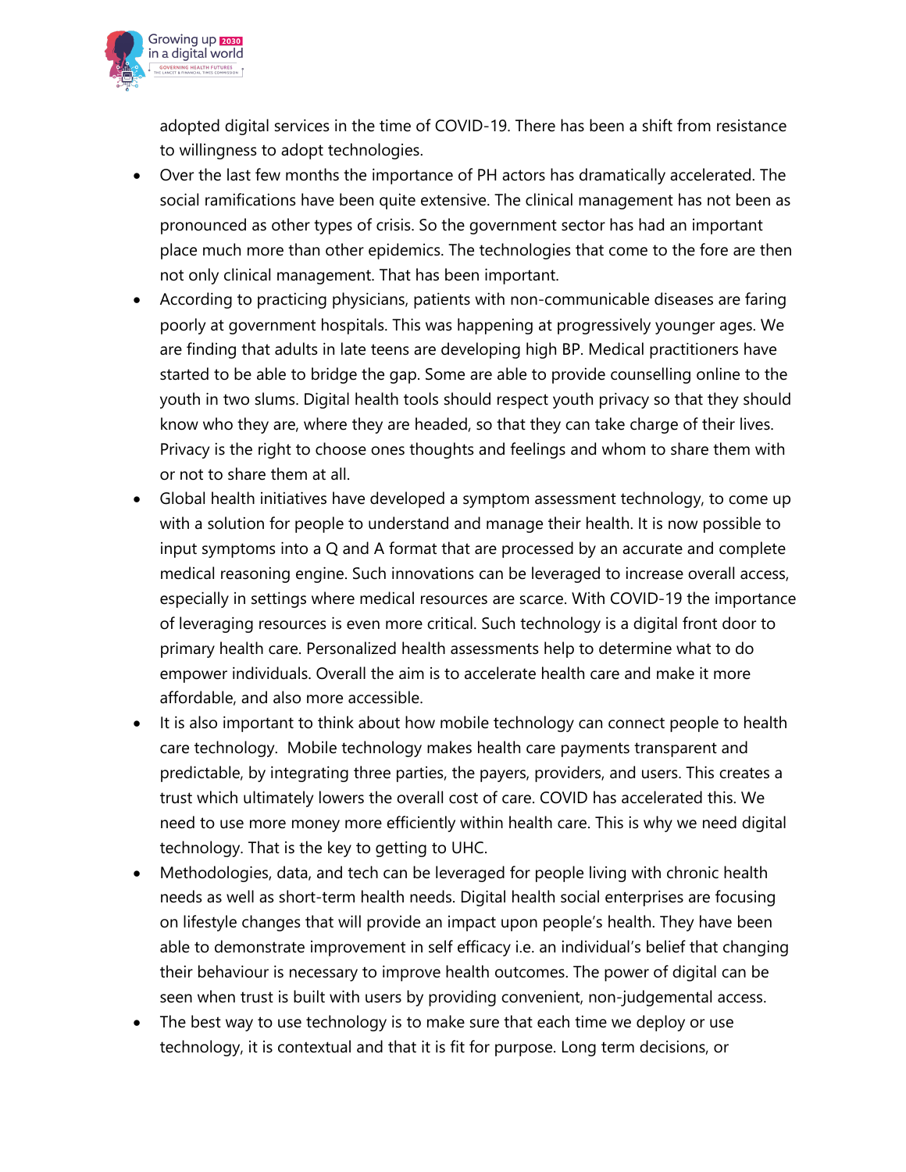

adopted digital services in the time of COVID-19. There has been a shift from resistance to willingness to adopt technologies.

- Over the last few months the importance of PH actors has dramatically accelerated. The social ramifications have been quite extensive. The clinical management has not been as pronounced as other types of crisis. So the government sector has had an important place much more than other epidemics. The technologies that come to the fore are then not only clinical management. That has been important.
- According to practicing physicians, patients with non-communicable diseases are faring poorly at government hospitals. This was happening at progressively younger ages. We are finding that adults in late teens are developing high BP. Medical practitioners have started to be able to bridge the gap. Some are able to provide counselling online to the youth in two slums. Digital health tools should respect youth privacy so that they should know who they are, where they are headed, so that they can take charge of their lives. Privacy is the right to choose ones thoughts and feelings and whom to share them with or not to share them at all.
- Global health initiatives have developed a symptom assessment technology, to come up with a solution for people to understand and manage their health. It is now possible to input symptoms into a Q and A format that are processed by an accurate and complete medical reasoning engine. Such innovations can be leveraged to increase overall access, especially in settings where medical resources are scarce. With COVID-19 the importance of leveraging resources is even more critical. Such technology is a digital front door to primary health care. Personalized health assessments help to determine what to do empower individuals. Overall the aim is to accelerate health care and make it more affordable, and also more accessible.
- It is also important to think about how mobile technology can connect people to health care technology. Mobile technology makes health care payments transparent and predictable, by integrating three parties, the payers, providers, and users. This creates a trust which ultimately lowers the overall cost of care. COVID has accelerated this. We need to use more money more efficiently within health care. This is why we need digital technology. That is the key to getting to UHC.
- Methodologies, data, and tech can be leveraged for people living with chronic health needs as well as short-term health needs. Digital health social enterprises are focusing on lifestyle changes that will provide an impact upon people's health. They have been able to demonstrate improvement in self efficacy i.e. an individual's belief that changing their behaviour is necessary to improve health outcomes. The power of digital can be seen when trust is built with users by providing convenient, non-judgemental access.
- The best way to use technology is to make sure that each time we deploy or use technology, it is contextual and that it is fit for purpose. Long term decisions, or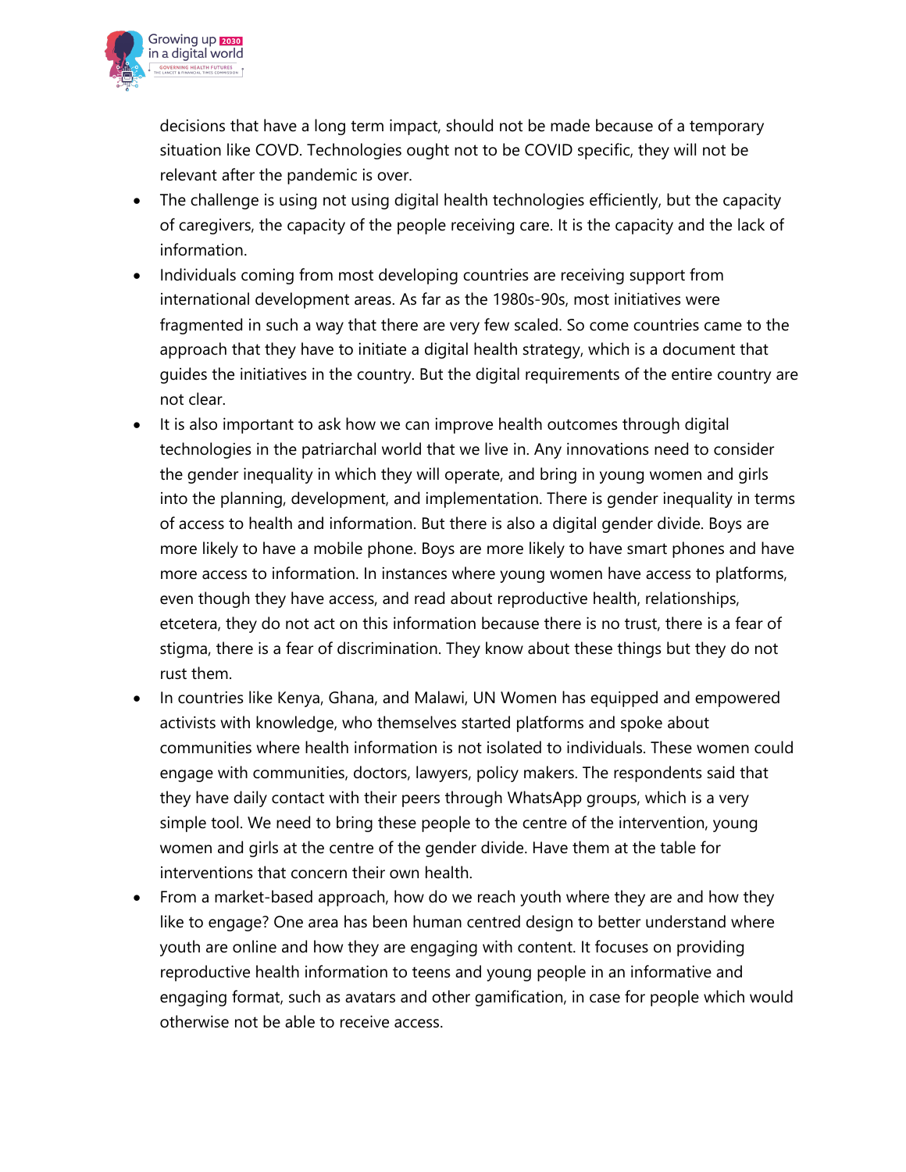

decisions that have a long term impact, should not be made because of a temporary situation like COVD. Technologies ought not to be COVID specific, they will not be relevant after the pandemic is over.

- The challenge is using not using digital health technologies efficiently, but the capacity of caregivers, the capacity of the people receiving care. It is the capacity and the lack of information.
- Individuals coming from most developing countries are receiving support from international development areas. As far as the 1980s-90s, most initiatives were fragmented in such a way that there are very few scaled. So come countries came to the approach that they have to initiate a digital health strategy, which is a document that guides the initiatives in the country. But the digital requirements of the entire country are not clear.
- It is also important to ask how we can improve health outcomes through digital technologies in the patriarchal world that we live in. Any innovations need to consider the gender inequality in which they will operate, and bring in young women and girls into the planning, development, and implementation. There is gender inequality in terms of access to health and information. But there is also a digital gender divide. Boys are more likely to have a mobile phone. Boys are more likely to have smart phones and have more access to information. In instances where young women have access to platforms, even though they have access, and read about reproductive health, relationships, etcetera, they do not act on this information because there is no trust, there is a fear of stigma, there is a fear of discrimination. They know about these things but they do not rust them.
- In countries like Kenya, Ghana, and Malawi, UN Women has equipped and empowered activists with knowledge, who themselves started platforms and spoke about communities where health information is not isolated to individuals. These women could engage with communities, doctors, lawyers, policy makers. The respondents said that they have daily contact with their peers through WhatsApp groups, which is a very simple tool. We need to bring these people to the centre of the intervention, young women and girls at the centre of the gender divide. Have them at the table for interventions that concern their own health.
- From a market-based approach, how do we reach youth where they are and how they like to engage? One area has been human centred design to better understand where youth are online and how they are engaging with content. It focuses on providing reproductive health information to teens and young people in an informative and engaging format, such as avatars and other gamification, in case for people which would otherwise not be able to receive access.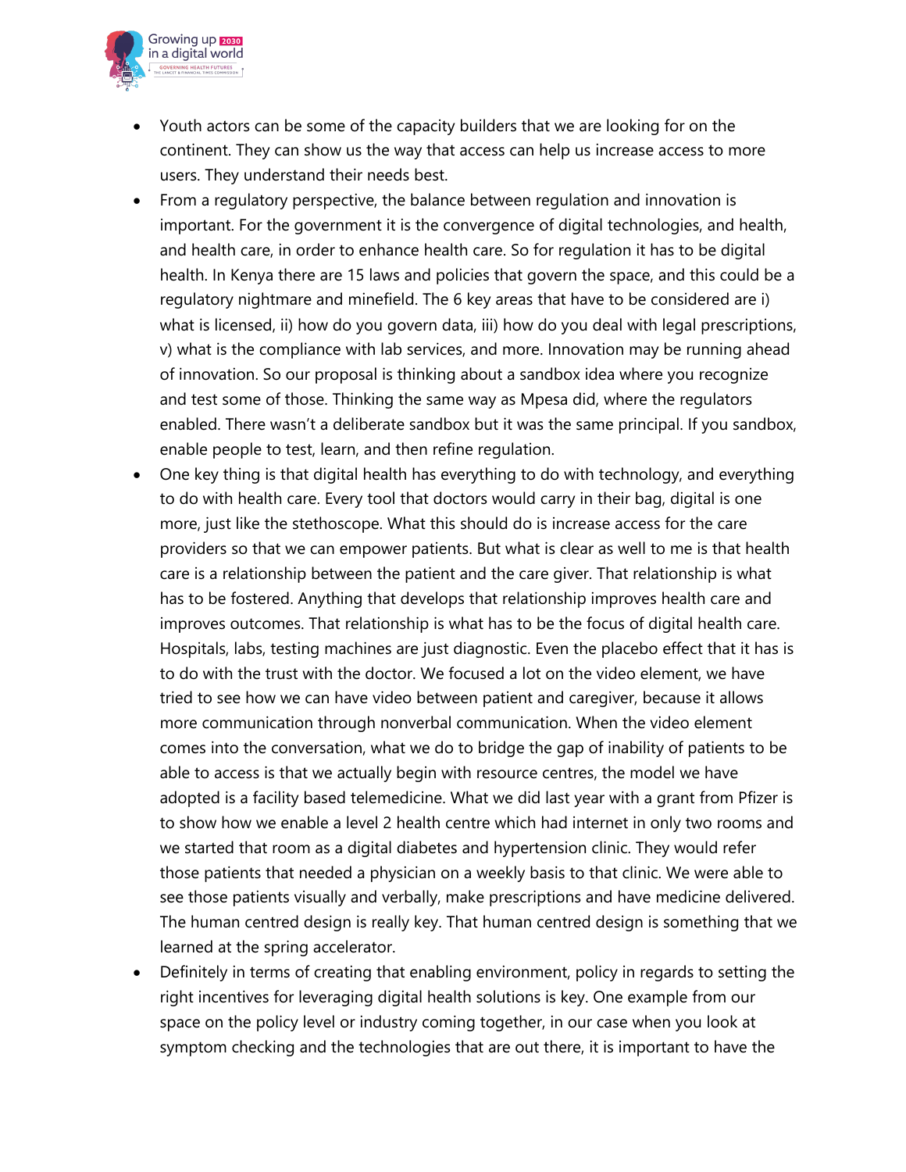

- Youth actors can be some of the capacity builders that we are looking for on the continent. They can show us the way that access can help us increase access to more users. They understand their needs best.
- From a regulatory perspective, the balance between regulation and innovation is important. For the government it is the convergence of digital technologies, and health, and health care, in order to enhance health care. So for regulation it has to be digital health. In Kenya there are 15 laws and policies that govern the space, and this could be a regulatory nightmare and minefield. The 6 key areas that have to be considered are i) what is licensed, ii) how do you govern data, iii) how do you deal with legal prescriptions, v) what is the compliance with lab services, and more. Innovation may be running ahead of innovation. So our proposal is thinking about a sandbox idea where you recognize and test some of those. Thinking the same way as Mpesa did, where the regulators enabled. There wasn't a deliberate sandbox but it was the same principal. If you sandbox, enable people to test, learn, and then refine regulation.
- One key thing is that digital health has everything to do with technology, and everything to do with health care. Every tool that doctors would carry in their bag, digital is one more, just like the stethoscope. What this should do is increase access for the care providers so that we can empower patients. But what is clear as well to me is that health care is a relationship between the patient and the care giver. That relationship is what has to be fostered. Anything that develops that relationship improves health care and improves outcomes. That relationship is what has to be the focus of digital health care. Hospitals, labs, testing machines are just diagnostic. Even the placebo effect that it has is to do with the trust with the doctor. We focused a lot on the video element, we have tried to see how we can have video between patient and caregiver, because it allows more communication through nonverbal communication. When the video element comes into the conversation, what we do to bridge the gap of inability of patients to be able to access is that we actually begin with resource centres, the model we have adopted is a facility based telemedicine. What we did last year with a grant from Pfizer is to show how we enable a level 2 health centre which had internet in only two rooms and we started that room as a digital diabetes and hypertension clinic. They would refer those patients that needed a physician on a weekly basis to that clinic. We were able to see those patients visually and verbally, make prescriptions and have medicine delivered. The human centred design is really key. That human centred design is something that we learned at the spring accelerator.
- Definitely in terms of creating that enabling environment, policy in regards to setting the right incentives for leveraging digital health solutions is key. One example from our space on the policy level or industry coming together, in our case when you look at symptom checking and the technologies that are out there, it is important to have the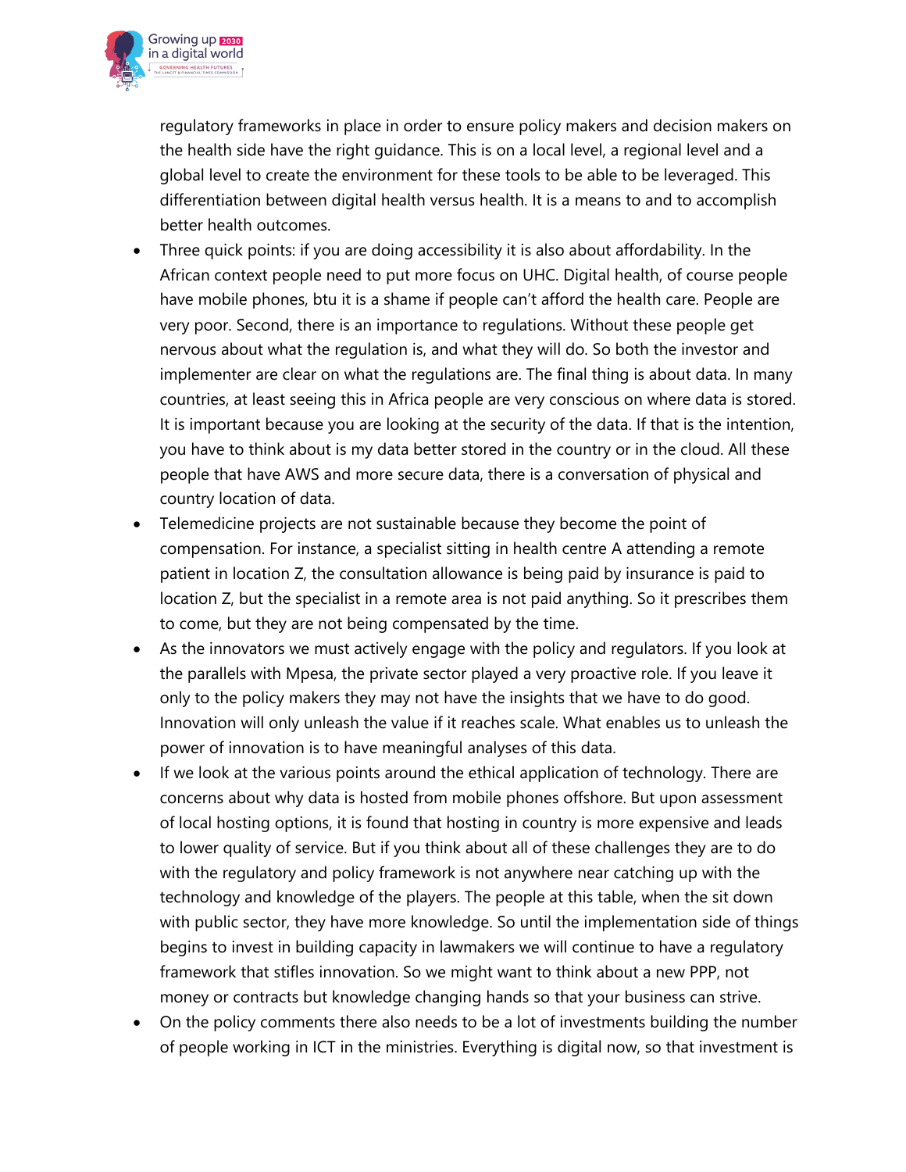

regulatory frameworks in place in order to ensure policy makers and decision makers on the health side have the right guidance. This is on a local level, a regional level and a global level to create the environment for these tools to be able to be leveraged. This differentiation between digital health versus health. It is a means to and to accomplish better health outcomes.

- Three quick points: if you are doing accessibility it is also about affordability. In the African context people need to put more focus on UHC. Digital health, of course people have mobile phones, btu it is a shame if people can't afford the health care. People are very poor. Second, there is an importance to regulations. Without these people get nervous about what the regulation is, and what they will do. So both the investor and implementer are clear on what the regulations are. The final thing is about data. In many countries, at least seeing this in Africa people are very conscious on where data is stored. It is important because you are looking at the security of the data. If that is the intention, you have to think about is my data better stored in the country or in the cloud. All these people that have AWS and more secure data, there is a conversation of physical and country location of data.
- Telemedicine projects are not sustainable because they become the point of compensation. For instance, a specialist sitting in health centre A attending a remote patient in location Z, the consultation allowance is being paid by insurance is paid to location Z, but the specialist in a remote area is not paid anything. So it prescribes them to come, but they are not being compensated by the time.
- As the innovators we must actively engage with the policy and regulators. If you look at the parallels with Mpesa, the private sector played a very proactive role. If you leave it only to the policy makers they may not have the insights that we have to do good. Innovation will only unleash the value if it reaches scale. What enables us to unleash the power of innovation is to have meaningful analyses of this data.
- If we look at the various points around the ethical application of technology. There are concerns about why data is hosted from mobile phones offshore. But upon assessment of local hosting options, it is found that hosting in country is more expensive and leads to lower quality of service. But if you think about all of these challenges they are to do with the regulatory and policy framework is not anywhere near catching up with the technology and knowledge of the players. The people at this table, when the sit down with public sector, they have more knowledge. So until the implementation side of things begins to invest in building capacity in lawmakers we will continue to have a regulatory framework that stifles innovation. So we might want to think about a new PPP, not money or contracts but knowledge changing hands so that your business can strive.
- On the policy comments there also needs to be a lot of investments building the number of people working in ICT in the ministries. Everything is digital now, so that investment is